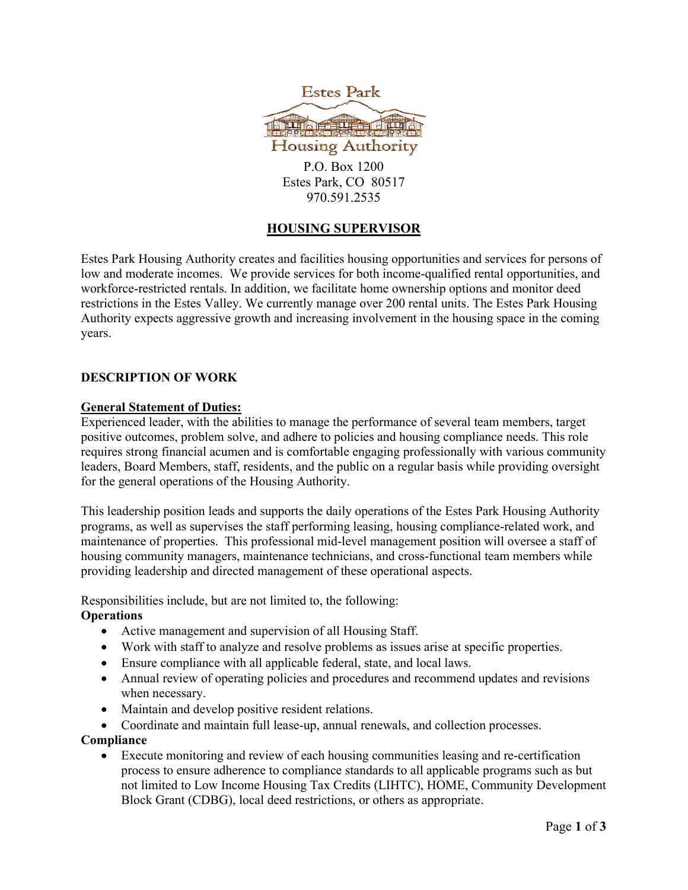



P.O. Box 1200 Estes Park, CO 80517 970.591.2535

# **HOUSING SUPERVISOR**

Estes Park Housing Authority creates and facilities housing opportunities and services for persons of low and moderate incomes. We provide services for both income-qualified rental opportunities, and workforce-restricted rentals. In addition, we facilitate home ownership options and monitor deed restrictions in the Estes Valley. We currently manage over 200 rental units. The Estes Park Housing Authority expects aggressive growth and increasing involvement in the housing space in the coming years.

### **DESCRIPTION OF WORK**

### **General Statement of Duties:**

Experienced leader, with the abilities to manage the performance of several team members, target positive outcomes, problem solve, and adhere to policies and housing compliance needs. This role requires strong financial acumen and is comfortable engaging professionally with various community leaders, Board Members, staff, residents, and the public on a regular basis while providing oversight for the general operations of the Housing Authority.

This leadership position leads and supports the daily operations of the Estes Park Housing Authority programs, as well as supervises the staff performing leasing, housing compliance-related work, and maintenance of properties. This professional mid-level management position will oversee a staff of housing community managers, maintenance technicians, and cross-functional team members while providing leadership and directed management of these operational aspects.

Responsibilities include, but are not limited to, the following: **Operations**

- Active management and supervision of all Housing Staff.
- Work with staff to analyze and resolve problems as issues arise at specific properties.
- Ensure compliance with all applicable federal, state, and local laws.
- Annual review of operating policies and procedures and recommend updates and revisions when necessary.
- Maintain and develop positive resident relations.
- Coordinate and maintain full lease-up, annual renewals, and collection processes.

**Compliance**

• Execute monitoring and review of each housing communities leasing and re-certification process to ensure adherence to compliance standards to all applicable programs such as but not limited to Low Income Housing Tax Credits (LIHTC), HOME, Community Development Block Grant (CDBG), local deed restrictions, or others as appropriate.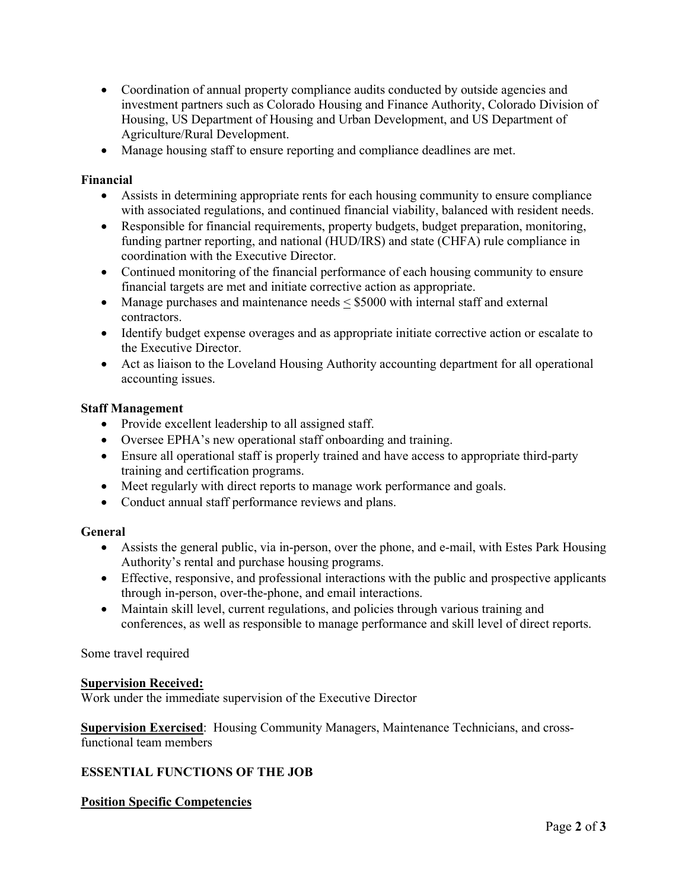- Coordination of annual property compliance audits conducted by outside agencies and investment partners such as Colorado Housing and Finance Authority, Colorado Division of Housing, US Department of Housing and Urban Development, and US Department of Agriculture/Rural Development.
- Manage housing staff to ensure reporting and compliance deadlines are met.

### **Financial**

- Assists in determining appropriate rents for each housing community to ensure compliance with associated regulations, and continued financial viability, balanced with resident needs.
- Responsible for financial requirements, property budgets, budget preparation, monitoring, funding partner reporting, and national (HUD/IRS) and state (CHFA) rule compliance in coordination with the Executive Director.
- Continued monitoring of the financial performance of each housing community to ensure financial targets are met and initiate corrective action as appropriate.
- Manage purchases and maintenance needs  $\leq$  \$5000 with internal staff and external contractors.
- Identify budget expense overages and as appropriate initiate corrective action or escalate to the Executive Director.
- Act as liaison to the Loveland Housing Authority accounting department for all operational accounting issues.

### **Staff Management**

- Provide excellent leadership to all assigned staff.
- Oversee EPHA's new operational staff onboarding and training.
- Ensure all operational staff is properly trained and have access to appropriate third-party training and certification programs.
- Meet regularly with direct reports to manage work performance and goals.
- Conduct annual staff performance reviews and plans.

## **General**

- Assists the general public, via in-person, over the phone, and e-mail, with Estes Park Housing Authority's rental and purchase housing programs.
- Effective, responsive, and professional interactions with the public and prospective applicants through in-person, over-the-phone, and email interactions.
- Maintain skill level, current regulations, and policies through various training and conferences, as well as responsible to manage performance and skill level of direct reports.

Some travel required

#### **Supervision Received:**

Work under the immediate supervision of the Executive Director

**Supervision Exercised**: Housing Community Managers, Maintenance Technicians, and crossfunctional team members

## **ESSENTIAL FUNCTIONS OF THE JOB**

## **Position Specific Competencies**